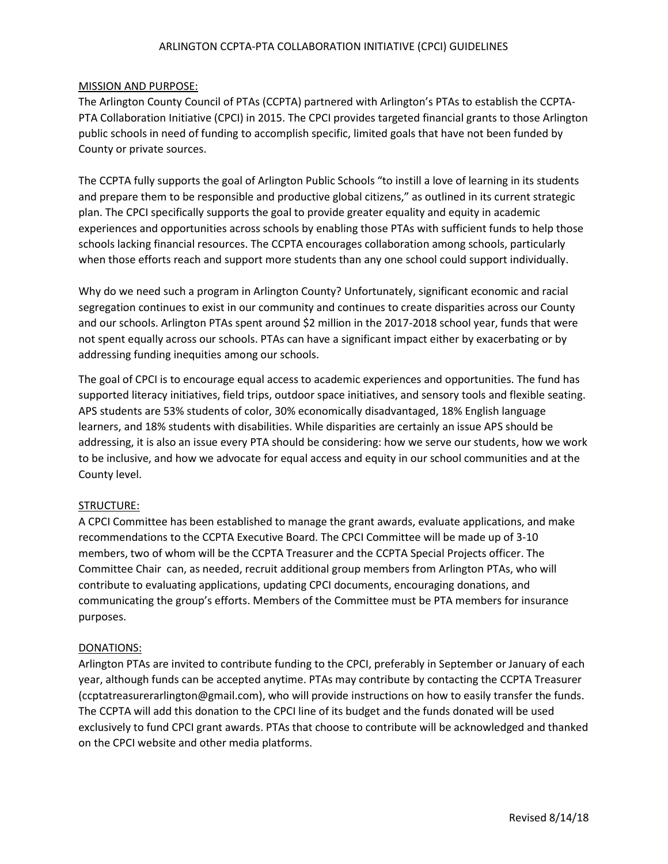#### ARLINGTON CCPTA-PTA COLLABORATION INITIATIVE (CPCI) GUIDELINES

#### MISSION AND PURPOSE:

The Arlington County Council of PTAs (CCPTA) partnered with Arlington's PTAs to establish the CCPTA-PTA Collaboration Initiative (CPCI) in 2015. The CPCI provides targeted financial grants to those Arlington public schools in need of funding to accomplish specific, limited goals that have not been funded by County or private sources.

The CCPTA fully supports the goal of Arlington Public Schools "to instill a love of learning in its students and prepare them to be responsible and productive global citizens," as outlined in its current strategic plan. The CPCI specifically supports the goal to provide greater equality and equity in academic experiences and opportunities across schools by enabling those PTAs with sufficient funds to help those schools lacking financial resources. The CCPTA encourages collaboration among schools, particularly when those efforts reach and support more students than any one school could support individually.

Why do we need such a program in Arlington County? Unfortunately, significant economic and racial segregation continues to exist in our community and continues to create disparities across our County and our schools. Arlington PTAs spent around \$2 million in the 2017-2018 school year, funds that were not spent equally across our schools. PTAs can have a significant impact either by exacerbating or by addressing funding inequities among our schools.

The goal of CPCI is to encourage equal access to academic experiences and opportunities. The fund has supported literacy initiatives, field trips, outdoor space initiatives, and sensory tools and flexible seating. APS students are 53% students of color, 30% economically disadvantaged, 18% English language learners, and 18% students with disabilities. While disparities are certainly an issue APS should be addressing, it is also an issue every PTA should be considering: how we serve our students, how we work to be inclusive, and how we advocate for equal access and equity in our school communities and at the County level.

## STRUCTURE:

A CPCI Committee has been established to manage the grant awards, evaluate applications, and make recommendations to the CCPTA Executive Board. The CPCI Committee will be made up of 3-10 members, two of whom will be the CCPTA Treasurer and the CCPTA Special Projects officer. The Committee Chair can, as needed, recruit additional group members from Arlington PTAs, who will contribute to evaluating applications, updating CPCI documents, encouraging donations, and communicating the group's efforts. Members of the Committee must be PTA members for insurance purposes.

#### DONATIONS:

Arlington PTAs are invited to contribute funding to the CPCI, preferably in September or January of each year, although funds can be accepted anytime. PTAs may contribute by contacting the CCPTA Treasurer (ccptatreasurerarlington@gmail.com), who will provide instructions on how to easily transfer the funds. The CCPTA will add this donation to the CPCI line of its budget and the funds donated will be used exclusively to fund CPCI grant awards. PTAs that choose to contribute will be acknowledged and thanked on the CPCI website and other media platforms.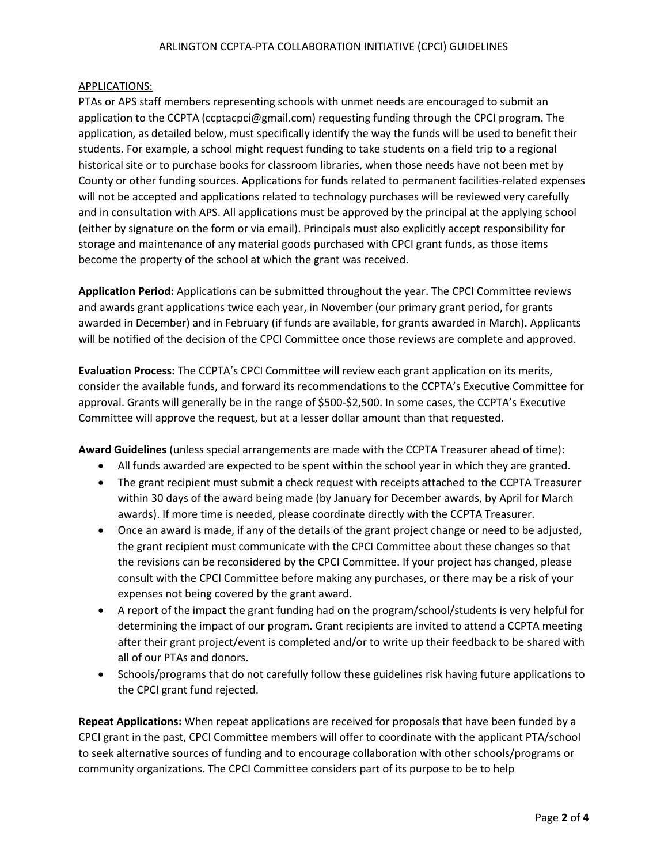## APPLICATIONS:

PTAs or APS staff members representing schools with unmet needs are encouraged to submit an application to the CCPTA (ccptacpci@gmail.com) requesting funding through the CPCI program. The application, as detailed below, must specifically identify the way the funds will be used to benefit their students. For example, a school might request funding to take students on a field trip to a regional historical site or to purchase books for classroom libraries, when those needs have not been met by County or other funding sources. Applications for funds related to permanent facilities-related expenses will not be accepted and applications related to technology purchases will be reviewed very carefully and in consultation with APS. All applications must be approved by the principal at the applying school (either by signature on the form or via email). Principals must also explicitly accept responsibility for storage and maintenance of any material goods purchased with CPCI grant funds, as those items become the property of the school at which the grant was received.

Application Period: Applications can be submitted throughout the year. The CPCI Committee reviews and awards grant applications twice each year, in November (our primary grant period, for grants awarded in December) and in February (if funds are available, for grants awarded in March). Applicants will be notified of the decision of the CPCI Committee once those reviews are complete and approved.

Evaluation Process: The CCPTA's CPCI Committee will review each grant application on its merits, consider the available funds, and forward its recommendations to the CCPTA's Executive Committee for approval. Grants will generally be in the range of \$500-\$2,500. In some cases, the CCPTA's Executive Committee will approve the request, but at a lesser dollar amount than that requested.

Award Guidelines (unless special arrangements are made with the CCPTA Treasurer ahead of time):

- All funds awarded are expected to be spent within the school year in which they are granted.
- The grant recipient must submit a check request with receipts attached to the CCPTA Treasurer within 30 days of the award being made (by January for December awards, by April for March awards). If more time is needed, please coordinate directly with the CCPTA Treasurer.
- Once an award is made, if any of the details of the grant project change or need to be adjusted, the grant recipient must communicate with the CPCI Committee about these changes so that the revisions can be reconsidered by the CPCI Committee. If your project has changed, please consult with the CPCI Committee before making any purchases, or there may be a risk of your expenses not being covered by the grant award.
- A report of the impact the grant funding had on the program/school/students is very helpful for determining the impact of our program. Grant recipients are invited to attend a CCPTA meeting after their grant project/event is completed and/or to write up their feedback to be shared with all of our PTAs and donors.
- Schools/programs that do not carefully follow these guidelines risk having future applications to the CPCI grant fund rejected.

Repeat Applications: When repeat applications are received for proposals that have been funded by a CPCI grant in the past, CPCI Committee members will offer to coordinate with the applicant PTA/school to seek alternative sources of funding and to encourage collaboration with other schools/programs or community organizations. The CPCI Committee considers part of its purpose to be to help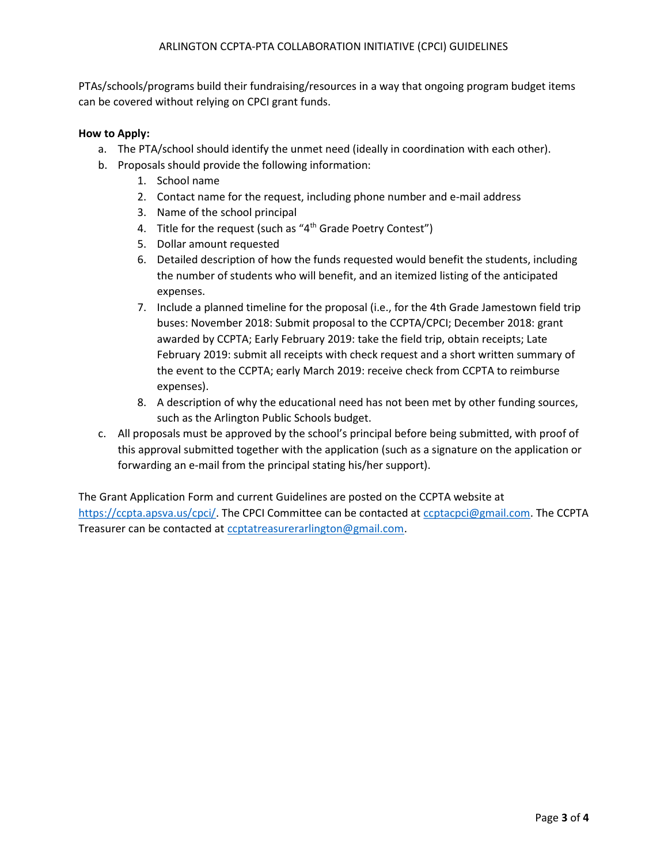PTAs/schools/programs build their fundraising/resources in a way that ongoing program budget items can be covered without relying on CPCI grant funds.

## How to Apply:

- a. The PTA/school should identify the unmet need (ideally in coordination with each other).
- b. Proposals should provide the following information:
	- 1. School name
	- 2. Contact name for the request, including phone number and e-mail address
	- 3. Name of the school principal
	- 4. Title for the request (such as "4<sup>th</sup> Grade Poetry Contest")
	- 5. Dollar amount requested
	- 6. Detailed description of how the funds requested would benefit the students, including the number of students who will benefit, and an itemized listing of the anticipated expenses.
	- 7. Include a planned timeline for the proposal (i.e., for the 4th Grade Jamestown field trip buses: November 2018: Submit proposal to the CCPTA/CPCI; December 2018: grant awarded by CCPTA; Early February 2019: take the field trip, obtain receipts; Late February 2019: submit all receipts with check request and a short written summary of the event to the CCPTA; early March 2019: receive check from CCPTA to reimburse expenses).
	- 8. A description of why the educational need has not been met by other funding sources, such as the Arlington Public Schools budget.
- c. All proposals must be approved by the school's principal before being submitted, with proof of this approval submitted together with the application (such as a signature on the application or forwarding an e-mail from the principal stating his/her support).

The Grant Application Form and current Guidelines are posted on the CCPTA website at https://ccpta.apsva.us/cpci/. The CPCI Committee can be contacted at ccptacpci@gmail.com. The CCPTA Treasurer can be contacted at ccptatreasurerarlington@gmail.com.